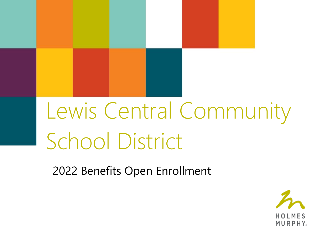## Lewis Central Community School District

2022 Benefits Open Enrollment

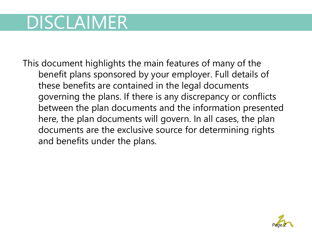## DISCLAIMER

This document highlights the main features of many of the benefit plans sponsored by your employer. Full details of these benefits are contained in the legal documents governing the plans. If there is any discrepancy or conflicts between the plan documents and the information presented here, the plan documents will govern. In all cases, the plan documents are the exclusive source for determining rights and benefits under the plans.

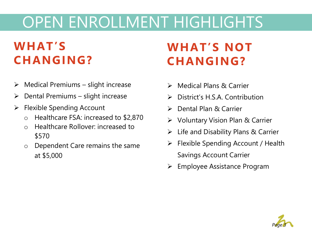## OPEN ENROLLMENT HIGHLIGHTS

### **WHAT'S CHANGING?**

- $\triangleright$  Medical Premiums slight increase
- $\triangleright$  Dental Premiums slight increase
- ➢ Flexible Spending Account
	- o Healthcare FSA: increased to \$2,870
	- o Healthcare Rollover: increased to \$570
	- o Dependent Care remains the same at \$5,000

### **WHAT'S NOT CHANGING?**

- ➢ Medical Plans & Carrier
- ➢ District's H.S.A. Contribution
- ➢ Dental Plan & Carrier
- ➢ Voluntary Vision Plan & Carrier
- $\triangleright$  Life and Disability Plans & Carrier
- ➢ Flexible Spending Account / Health Savings Account Carrier
- ➢ Employee Assistance Program

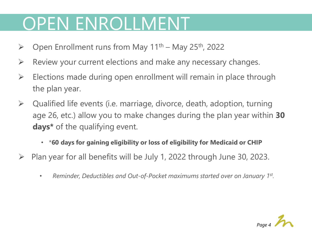## OPEN ENROLLMENT

- $\triangleright$  Open Enrollment runs from May 11<sup>th</sup> May 25<sup>th</sup>, 2022
- $\triangleright$  Review your current elections and make any necessary changes.
- $\triangleright$  Elections made during open enrollment will remain in place through the plan year.
- $\triangleright$  Qualified life events (i.e. marriage, divorce, death, adoption, turning age 26, etc.) allow you to make changes during the plan year within **30 days\*** of the qualifying event.
	- \***60 days for gaining eligibility or loss of eligibility for Medicaid or CHIP**
- $\triangleright$  Plan year for all benefits will be July 1, 2022 through June 30, 2023.
	- *Reminder, Deductibles and Out-of-Pocket maximums started over on January 1st .*

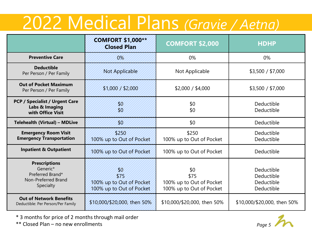## 2022 Medical Plans *(Gravie / Aetna)*

|                                                                                          | <b>COMFORT \$1,000**</b><br><b>Closed Plan</b>                     | <b>COMFORT \$2,000</b>                                              | <b>HDHP</b>                                          |  |
|------------------------------------------------------------------------------------------|--------------------------------------------------------------------|---------------------------------------------------------------------|------------------------------------------------------|--|
| <b>Preventive Care</b>                                                                   | 0%                                                                 | 0%                                                                  | 0%                                                   |  |
| <b>Deductible</b><br>Per Person / Per Family                                             | <b>Not Applicable</b>                                              | Not Applicable                                                      | \$3,500 / \$7,000                                    |  |
| <b>Out of Pocket Maximum</b><br>Per Person / Per Family                                  | \$1,000 / \$2,000                                                  | \$2,000 / \$4,000                                                   | \$3,500 / \$7,000                                    |  |
| <b>PCP / Specialist / Urgent Care</b><br>Labs & Imaging<br>with Office Visit             | 30<br>80                                                           | \$0<br>\$0                                                          | Deductible<br>Deductible                             |  |
| <b>Telehealth (Virtual) - MDLive</b>                                                     | 30                                                                 | \$0                                                                 | Deductible                                           |  |
| <b>Emergency Room Visit</b><br><b>Emergency Transportation</b>                           | \$250<br>100% up to Out of Pocket                                  | \$250<br>100% up to Out of Pocket                                   | Deductible<br>Deductible                             |  |
| <b>Inpatient &amp; Outpatient</b>                                                        | 100% up to Out of Pocket                                           | 100% up to Out of Pocket                                            | Deductible                                           |  |
| <b>Prescriptions</b><br>Generic*<br>Preferred Brand*<br>Non-Preferred Brand<br>Specialty | 30<br>\$75<br>100% up to Out of Pocket<br>100% up to Out of Pocket | \$0<br>\$75<br>100% up to Out of Pocket<br>100% up to Out of Pocket | Deductible<br>Deductible<br>Deductible<br>Deductible |  |
| <b>Out of Network Benefits</b><br>Deductible: Per Person/Per Family                      | \$10,000/\$20,000, then 50%                                        | \$10,000/\$20,000, then 50%                                         | \$10,000/\$20,000, then 50%                          |  |

\* 3 months for price of 2 months through mail order

\*\* Closed Plan – no new enrollments *Page 5*

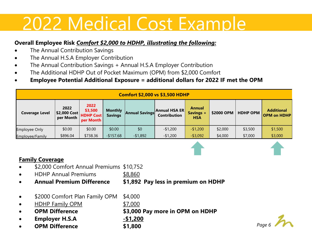## 2022 Medical Cost Example

#### **Overall Employee Risk** *Comfort \$2,000 to HDHP, illustrating the following:*

- The Annual Contribution Savings
- The Annual H.S.A Employer Contribution
- The Annual Contribution Savings + Annual H.S.A Employer Contribution
- The Additional HDHP Out of Pocket Maximum (OPM) from \$2,000 Comfort
- **Employee Potential Additional Exposure = additional dollars for 2022 IF met the OPM**

| <b>Comfort \$2,000 vs \$3,500 HDHP</b> |                                   |                                                  |                                  |                |                                      |                                          |            |                 |                                         |
|----------------------------------------|-----------------------------------|--------------------------------------------------|----------------------------------|----------------|--------------------------------------|------------------------------------------|------------|-----------------|-----------------------------------------|
| <b>Coverage Level</b>                  | 2022<br>\$2,000 Cost<br>per Month | 2022<br>\$3,500<br><b>HDHP Cost</b><br>per Month | <b>Monthly</b><br><b>Savings</b> | Annual Savings | Annual HSA ER<br><b>Contribution</b> | <b>Annual</b><br>Savings +<br><b>HSA</b> | \$2000 OPM | <b>HDHP OPM</b> | <b>Additional</b><br><b>OPM on HDHP</b> |
| <b>Employee Only</b>                   | \$0.00                            | \$0.00                                           | \$0.00                           | \$0            | $-$1,200$                            | $-$1,200$                                | \$2,000    | \$3,500         | \$1,500                                 |
| Employee/Family                        | \$896.04                          | \$738.36                                         | $-$157.68$                       | $-$1,892$      | $-$1,200$                            | $-$3,092$                                | \$4,000    | \$7,000         | \$3,000                                 |

#### **Family Coverage**

- \$2,000 Comfort Annual Premiums \$10,752
- HDHP Annual Premiums \$8,860
- **Annual Premium Difference \$1,892 Pay less in premium on HDHP**
- \$2000 Comfort Plan Family OPM \$4,000
- HDHP Family OPM \$7,000
- **OPM Difference \$3,000 Pay more in OPM on HDHP**
- **Employer H.S.A -\$1,200**
- **OPM Difference \$1,800**

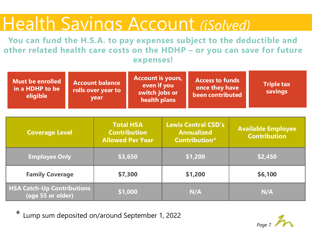## Health Savings Account *(iSolved)*

**You can fund the H.S.A. to pay expenses subject to the deductible and other related health care costs on the HDHP – or you can save for future expenses!**

| <b>Must be enrolled</b><br>in a HDHP to be<br>eligible |  | <b>Account balance</b><br>rolls over year to<br>year | <b>Account is yours,</b><br>even if you<br>switch jobs or<br>health plans |  | <b>Access to funds</b><br>once they have<br>been contributed            | <b>Triple tax</b><br>savings |                                                  |  |
|--------------------------------------------------------|--|------------------------------------------------------|---------------------------------------------------------------------------|--|-------------------------------------------------------------------------|------------------------------|--------------------------------------------------|--|
| <b>Coverage Level</b>                                  |  |                                                      | <b>Total HSA</b><br><b>Contribution</b><br><b>Allowed Per Year</b>        |  | <b>Lewis Central CSD's</b><br><b>Annualized</b><br><b>Contribution*</b> |                              | <b>Available Employee</b><br><b>Contribution</b> |  |
| <b>Employee Only</b>                                   |  |                                                      | \$3,650                                                                   |  | \$1,200                                                                 | \$2,450                      |                                                  |  |
| <b>Family Coverage</b>                                 |  |                                                      | \$7,300                                                                   |  | \$1,200                                                                 |                              | \$6,100                                          |  |
| <b>HSA Catch-Up Contributions</b><br>(age 55 or older) |  |                                                      | \$1,000                                                                   |  | N/A                                                                     |                              | N/A                                              |  |

\* Lump sum deposited on/around September 1, 2022

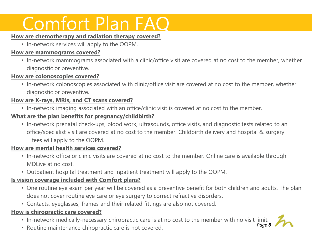## Comfort Plan FAQ

#### **How are chemotherapy and radiation therapy covered?**

• In-network services will apply to the OOPM.

#### **How are mammograms covered?**

• In-network mammograms associated with a clinic/office visit are covered at no cost to the member, whether diagnostic or preventive.

#### **How are colonoscopies covered?**

• In-network colonoscopies associated with clinic/office visit are covered at no cost to the member, whether diagnostic or preventive.

#### **How are X-rays, MRIs, and CT scans covered?**

• In-network imaging associated with an office/clinic visit is covered at no cost to the member.

#### **What are the plan benefits for pregnancy/childbirth?**

• In-network prenatal check-ups, blood work, ultrasounds, office visits, and diagnostic tests related to an office/specialist visit are covered at no cost to the member. Childbirth delivery and hospital & surgery fees will apply to the OOPM.

#### **How are mental health services covered?**

- In-network office or clinic visits are covered at no cost to the member. Online care is available through MDLive at no cost.
- Outpatient hospital treatment and inpatient treatment will apply to the OOPM.

#### **Is vision coverage included with Comfort plans?**

- One routine eye exam per year will be covered as a preventive benefit for both children and adults. The plan does not cover routine eye care or eye surgery to correct refractive disorders.
- Contacts, eyeglasses, frames and their related fittings are also not covered.

#### **How is chiropractic care covered?**

- In-network medically-necessary chiropractic care is at no cost to the member with no visit limit.
- Routine maintenance chiropractic care is not covered.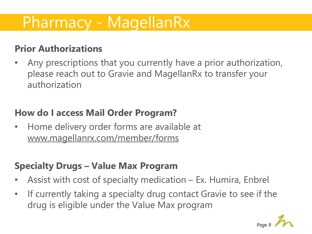### Pharmacy - MagellanRx

### **Prior Authorizations**

• Any prescriptions that you currently have a prior authorization, please reach out to Gravie and MagellanRx to transfer your authorization

### **How do I access Mail Order Program?**

• Home delivery order forms are available at [www.magellanrx.com/member/forms](http://www.magellanrx.com/member/forms)

### **Specialty Drugs – Value Max Program**

- Assist with cost of specialty medication Ex. Humira, Enbrel
- If currently taking a specialty drug contact Gravie to see if the drug is eligible under the Value Max program

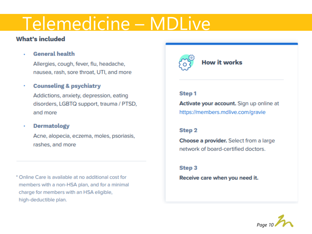## Telemedicine – MDLive

#### **What's included**

**General health**  $\bullet$ 

> Allergies, cough, fever, flu, headache, nausea, rash, sore throat, UTI, and more

#### **Counseling & psychiatry** ٠

Addictions, anxiety, depression, eating disorders, LGBTQ support, trauma / PTSD, and more

#### **Dermatology** ٠

Acne, alopecia, eczema, moles, psoriasis, rashes, and more

\* Online Care is available at no additional cost for members with a non-HSA plan, and for a minimal charge for members with an HSA eligible, high-deductible plan.



#### **How it works**

#### **Step1**

Activate your account. Sign up online at https://members.mdlive.com/gravie

#### Step<sub>2</sub>

Choose a provider. Select from a large network of board-certified doctors.

#### Step<sub>3</sub>

Receive care when you need it.

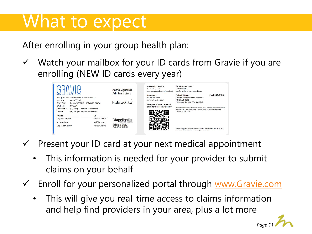## What to expect

After enrolling in your group health plan:

 $\checkmark$  Watch your mailbox for your ID cards from Gravie if you are enrolling (NEW ID cards every year)

| Group #:<br>Care Type:<br>Eff. Date:<br>Deductible:<br>OOPM: | inistrative services<br>Group Name: Gravie Medical Plan Benefits<br>GRV150505<br>Copay \$2000 Ded/ \$4000 OOPM<br><b>1/V2021</b><br>\$2,000 per person, In-Network<br>\$4,000 per person, In-Network | Aetna Signature<br><b>Administrators</b><br>PreferredOne <sup>®</sup> | <b>Customer Service:</b><br>855.451.8365<br>member.gravie.com/contact<br>Pharmacy:<br>888888888<br>www.pbmsite.com<br>Use your phone camera to<br>scan for detailed plan info: | <b>Provider Services:</b><br>800.997.1750<br>preferredone.com/providers<br>Submit Claims:<br><b>Gravie Adminstrative Services</b><br>PO Box 59212<br>Minneapolis, MN 55459-0212<br>Providers: Precertification must be obtained for services as specified in<br>the member's plan. For precertification, call the Provider Services<br>number on this card. | PAYER ID: XXXX |
|--------------------------------------------------------------|------------------------------------------------------------------------------------------------------------------------------------------------------------------------------------------------------|-----------------------------------------------------------------------|--------------------------------------------------------------------------------------------------------------------------------------------------------------------------------|-------------------------------------------------------------------------------------------------------------------------------------------------------------------------------------------------------------------------------------------------------------------------------------------------------------------------------------------------------------|----------------|
| NAME:                                                        | ID:                                                                                                                                                                                                  |                                                                       |                                                                                                                                                                                |                                                                                                                                                                                                                                                                                                                                                             |                |
| <b>Employee Smith</b>                                        | 98765432100                                                                                                                                                                                          | <b>Magellan Rx</b>                                                    |                                                                                                                                                                                |                                                                                                                                                                                                                                                                                                                                                             |                |
| Spouse Smith                                                 | 98765432101                                                                                                                                                                                          | <b>ByBIN: 017449</b>                                                  |                                                                                                                                                                                |                                                                                                                                                                                                                                                                                                                                                             |                |
| Dependent Smith                                              | 98765432102                                                                                                                                                                                          | <b>RxPCN: 6792000</b><br><b>RxGRP: PRXGRV</b>                         |                                                                                                                                                                                | Aetna participating doctors and hospitals are independent providers.<br>and are neither agents nor employees of Aetna.                                                                                                                                                                                                                                      |                |

- $\checkmark$  Present your ID card at your next medical appointment
	- This information is needed for your provider to submit claims on your behalf
- ✓ Enroll for your personalized portal through [www.Gravie.com](http://www.gravie.com/)
	- This will give you real-time access to claims information and help find providers in your area, plus a lot more

*Page 11*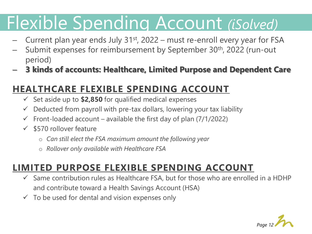## Flexible Spending Account *(iSolved)*

- Current plan year ends July  $31<sup>st</sup>$ , 2022 must re-enroll every year for FSA
- Submit expenses for reimbursement by September 30<sup>th</sup>, 2022 (run-out period)
- **3 kinds of accounts: Healthcare, Limited Purpose and Dependent Care**

### **HEALTHCARE FLEXIBLE SPENDING ACCOUNT**

- ✓ Set aside up to **\$2,850** for qualified medical expenses
- $\checkmark$  Deducted from payroll with pre-tax dollars, lowering your tax liability
- $\checkmark$  Front-loaded account available the first day of plan (7/1/2022)
- $\checkmark$  \$570 rollover feature
	- o *Can still elect the FSA maximum amount the following year*
	- o *Rollover only available with Healthcare FSA*

### **LIMITED PURPOSE FLEXIBLE SPENDING ACCOUNT**

- $\checkmark$  Same contribution rules as Healthcare FSA, but for those who are enrolled in a HDHP and contribute toward a Health Savings Account (HSA)
- $\checkmark$  To be used for dental and vision expenses only

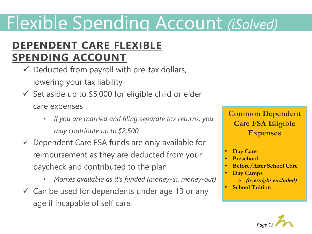## Flexible Spending Account *(iSolved)*

### **DEPENDENT CARE FLEXIBLE SPENDING ACCOUNT**

- $\checkmark$  Deducted from payroll with pre-tax dollars, lowering your tax liability
- $\checkmark$  Set aside up to \$5,000 for eligible child or elder care expenses
	- *If you are married and filing separate tax returns, you may contribute up to \$2,500*
- $\checkmark$  Dependent Care FSA funds are only available for reimbursement as they are deducted from your paycheck and contributed to the plan
	- *Monies available as it's funded (money-in, money-out)*
- $\checkmark$  Can be used for dependents under age 13 or any age if incapable of self care

**Common Dependent Care FSA Eligible Expenses**

- **Day Care**
- **Preschool**
- **Before/After School Care**
- **Day Camps**  o **(overnight excluded)**
- **School Tuition**

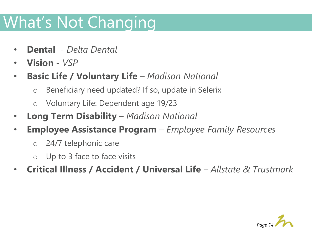## What's Not Changing

- **Dental** *Delta Dental*
- **Vision**  *VSP*
- **Basic Life / Voluntary Life**  *Madison National*
	- o Beneficiary need updated? If so, update in Selerix
	- o Voluntary Life: Dependent age 19/23
- **Long Term Disability**  *Madison National*
- **Employee Assistance Program**  *Employee Family Resources*
	- o 24/7 telephonic care
	- o Up to 3 face to face visits
- **Critical Illness / Accident / Universal Life** *Allstate & Trustmark*

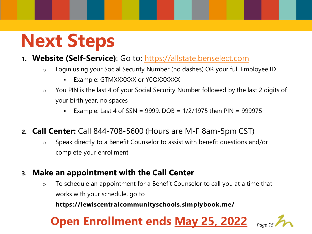## **Next Steps**

### **1. Website (Self-Service)**: Go to: [https://allstate.benselect.com](https://allstate.benselect.com/)

- o Login using your Social Security Number (no dashes) OR your full Employee ID
	- Example: GTMXXXXXX or Y0QXXXXXX
- $\circ$  You PIN is the last 4 of your Social Security Number followed by the last 2 digits of your birth year, no spaces
	- **Example: Last 4 of SSN = 9999, DOB = 1/2/1975 then PIN = 999975**
- **2. Call Center:** Call 844-708-5600 (Hours are M-F 8am-5pm CST)
	- o Speak directly to a Benefit Counselor to assist with benefit questions and/or complete your enrollment
- **3. Make an appointment with the Call Center**
	- $\circ$  To schedule an appointment for a Benefit Counselor to call you at a time that works with your schedule, go to

**https://lewiscentralcommunityschools.simplybook.me/**

### **Open Enrollment ends May 25, 2022**

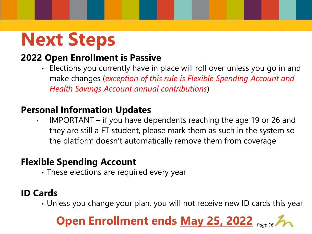## **Next Steps**

### **2022 Open Enrollment is Passive**

• Elections you currently have in place will roll over unless you go in and make changes (*exception of this rule is Flexible Spending Account and Health Savings Account annual contributions*)

### **Personal Information Updates**

• IMPORTANT – if you have dependents reaching the age 19 or 26 and they are still a FT student, please mark them as such in the system so the platform doesn't automatically remove them from coverage

### **Flexible Spending Account**

• These elections are required every year

### **ID Cards**

• Unless you change your plan, you will not receive new ID cards this year

### **Open Enrollment ends May 25, 2022** *Page 16*

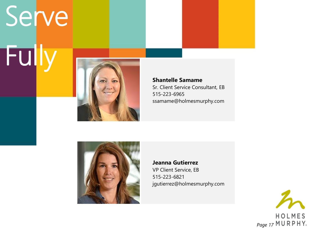# Serve Fully



**Shantelle Samame** Sr. Client Service Consultant, EB 515-223-6965 ssamame@holmesmurphy.com



**Jeanna Gutierrez** VP Client Service, EB 515-223-6821 jgutierrez@holmesmurphy.com

HOLMES *Page 17*